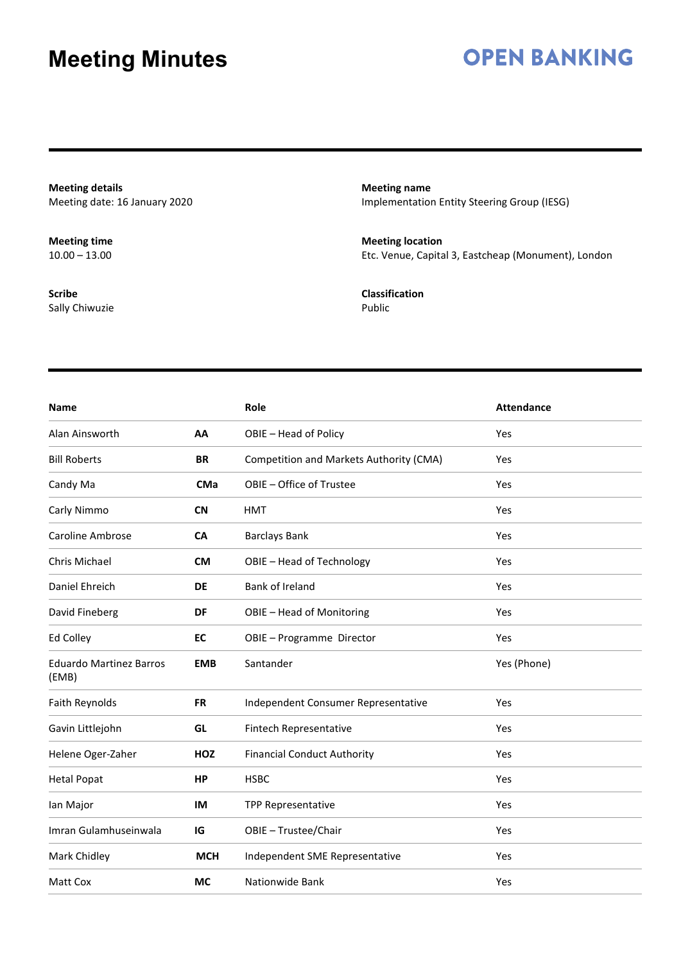## **OPEN BANKING**

**Meeting details** Meeting date: 16 January 2020

**Meeting time**  $10.00 - 13.00$ 

**Scribe** Sally Chiwuzie **Meeting name** Implementation Entity Steering Group (IESG)

**Meeting location** Etc. Venue, Capital 3, Eastcheap (Monument), London

**Classification** Public

| <b>Name</b>                             |            | Role                                    | <b>Attendance</b> |
|-----------------------------------------|------------|-----------------------------------------|-------------------|
| Alan Ainsworth                          | AA         | OBIE - Head of Policy                   | Yes               |
| <b>Bill Roberts</b>                     | <b>BR</b>  | Competition and Markets Authority (CMA) | Yes               |
| Candy Ma                                | <b>CMa</b> | OBIE - Office of Trustee                | Yes               |
| Carly Nimmo                             | <b>CN</b>  | <b>HMT</b>                              | Yes               |
| Caroline Ambrose                        | CA         | <b>Barclays Bank</b>                    | Yes               |
| Chris Michael                           | <b>CM</b>  | OBIE - Head of Technology               | Yes               |
| Daniel Ehreich                          | <b>DE</b>  | Bank of Ireland                         | Yes               |
| David Fineberg                          | DF         | OBIE - Head of Monitoring               | Yes               |
| <b>Ed Colley</b>                        | EC         | OBIE - Programme Director               | Yes               |
| <b>Eduardo Martinez Barros</b><br>(EMB) | <b>EMB</b> | Santander                               | Yes (Phone)       |
| Faith Reynolds                          | <b>FR</b>  | Independent Consumer Representative     | Yes               |
| Gavin Littlejohn                        | GL         | Fintech Representative                  | Yes               |
| Helene Oger-Zaher                       | <b>HOZ</b> | <b>Financial Conduct Authority</b>      | Yes               |
| <b>Hetal Popat</b>                      | <b>HP</b>  | <b>HSBC</b>                             | Yes               |
| lan Major                               | IM         | <b>TPP Representative</b>               | Yes               |
| Imran Gulamhuseinwala                   | IG         | OBIE - Trustee/Chair                    | Yes               |
| Mark Chidley                            | <b>MCH</b> | Independent SME Representative          | Yes               |
| Matt Cox                                | <b>MC</b>  | Nationwide Bank                         | Yes               |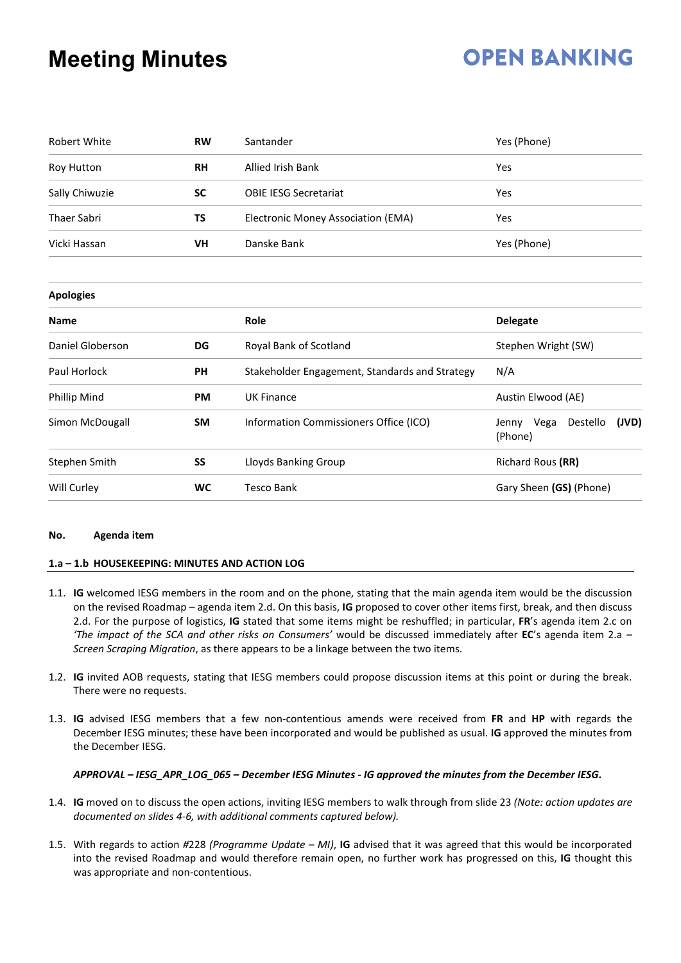# **OPEN BANKING**

| <b>Robert White</b> | <b>RW</b> | Santander                                      | Yes (Phone)                                |  |
|---------------------|-----------|------------------------------------------------|--------------------------------------------|--|
| Roy Hutton          | <b>RH</b> | <b>Allied Irish Bank</b>                       | Yes                                        |  |
| Sally Chiwuzie      | SC        | <b>OBIE IESG Secretariat</b>                   | Yes                                        |  |
| <b>Thaer Sabri</b>  | ΤS        | Electronic Money Association (EMA)             | Yes                                        |  |
| Vicki Hassan        | VH        | Danske Bank                                    | Yes (Phone)                                |  |
| <b>Apologies</b>    |           |                                                |                                            |  |
| <b>Name</b>         |           | Role                                           | <b>Delegate</b>                            |  |
| Daniel Globerson    | DG        | Royal Bank of Scotland                         | Stephen Wright (SW)                        |  |
| Paul Horlock        | <b>PH</b> | Stakeholder Engagement, Standards and Strategy | N/A                                        |  |
| Phillip Mind        | <b>PM</b> | <b>UK Finance</b>                              | Austin Elwood (AE)                         |  |
| Simon McDougall     | <b>SM</b> | Information Commissioners Office (ICO)         | Destello<br>(JVD)<br>Jenny Vega<br>(Phone) |  |
| Stephen Smith       | SS        | Lloyds Banking Group                           | Richard Rous (RR)                          |  |
| Will Curley         | <b>WC</b> | <b>Tesco Bank</b>                              | Gary Sheen (GS) (Phone)                    |  |

#### **No. Agenda item**

### **1.a – 1.b HOUSEKEEPING: MINUTES AND ACTION LOG**

- 1.1. **IG** welcomed IESG members in the room and on the phone, stating that the main agenda item would be the discussion on the revised Roadmap – agenda item 2.d. On this basis, **IG** proposed to cover other items first, break, and then discuss 2.d. For the purpose of logistics, **IG** stated that some items might be reshuffled; in particular, **FR**'s agenda item 2.c on *'The impact of the SCA and other risks on Consumers'* would be discussed immediately after **EC**'s agenda item 2.a *– Screen Scraping Migration*, as there appears to be a linkage between the two items.
- 1.2. **IG** invited AOB requests, stating that IESG members could propose discussion items at this point or during the break. There were no requests.
- 1.3. **IG** advised IESG members that a few non-contentious amends were received from **FR** and **HP** with regards the December IESG minutes; these have been incorporated and would be published as usual. **IG** approved the minutes from the December IESG.

### *APPROVAL – IESG\_APR\_LOG\_065 – December IESG Minutes - IG approved the minutes from the December IESG.*

- 1.4. **IG** moved on to discuss the open actions, inviting IESG members to walk through from slide 23 *(Note: action updates are documented on slides 4-6, with additional comments captured below).*
- 1.5. With regards to action *#*228 *(Programme Update – MI)*, **IG** advised that it was agreed that this would be incorporated into the revised Roadmap and would therefore remain open, no further work has progressed on this, **IG** thought this was appropriate and non-contentious.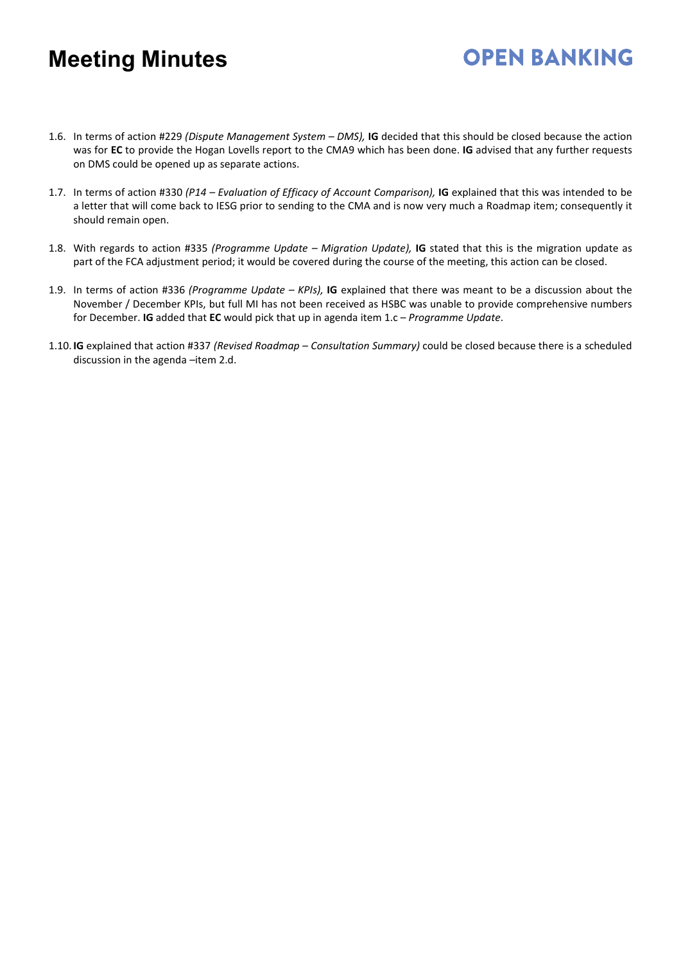1.6. In terms of action #229 *(Dispute Management System – DMS),* **IG** decided that this should be closed because the action was for **EC** to provide the Hogan Lovells report to the CMA9 which has been done. **IG** advised that any further requests on DMS could be opened up as separate actions.

- 1.7. In terms of action #330 *(P14 – Evaluation of Efficacy of Account Comparison),* **IG** explained that this was intended to be a letter that will come back to IESG prior to sending to the CMA and is now very much a Roadmap item; consequently it should remain open.
- 1.8. With regards to action #335 *(Programme Update – Migration Update),* **IG** stated that this is the migration update as part of the FCA adjustment period; it would be covered during the course of the meeting, this action can be closed.
- 1.9. In terms of action #336 *(Programme Update – KPIs),* **IG** explained that there was meant to be a discussion about the November / December KPIs, but full MI has not been received as HSBC was unable to provide comprehensive numbers for December. **IG** added that **EC** would pick that up in agenda item 1.c – *Programme Update*.
- 1.10. **IG** explained that action #337 *(Revised Roadmap – Consultation Summary)* could be closed because there is a scheduled discussion in the agenda –item 2.d.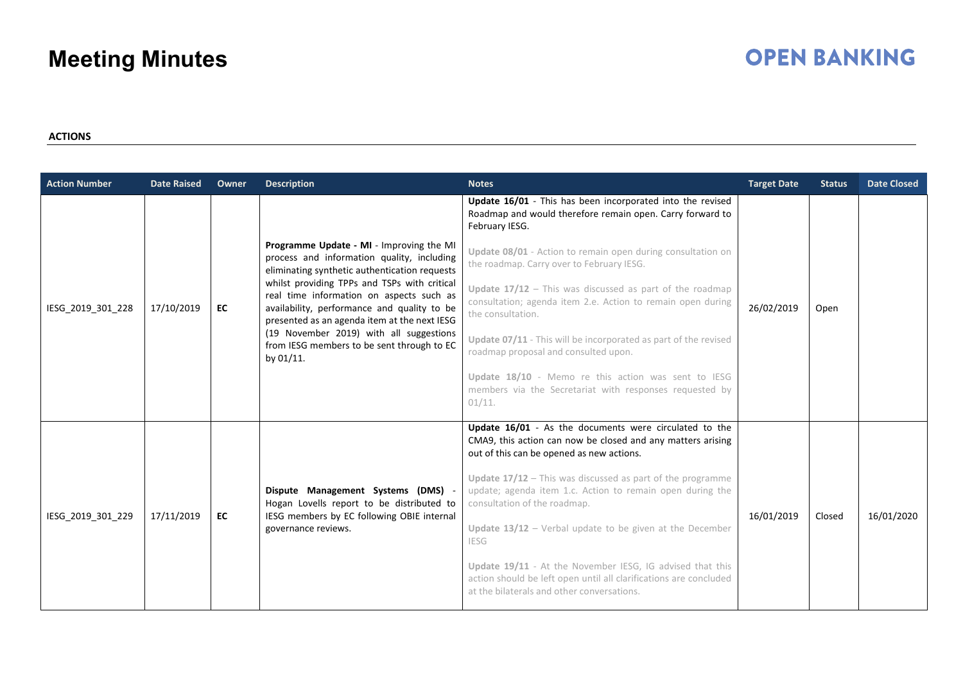# **OPEN BANKING**

**ACTIONS**

| <b>Action Number</b> | <b>Date Raised</b> | Owner | <b>Description</b>                                                                                                                                                                                                                                                                                                                 | <b>Notes</b>                                                                                                                                                                 | <b>Target Date</b> | <b>Status</b> | <b>Date Closed</b> |
|----------------------|--------------------|-------|------------------------------------------------------------------------------------------------------------------------------------------------------------------------------------------------------------------------------------------------------------------------------------------------------------------------------------|------------------------------------------------------------------------------------------------------------------------------------------------------------------------------|--------------------|---------------|--------------------|
| IESG_2019_301_228    | 17/10/2019         | EC    | Programme Update - MI - Improving the MI<br>process and information quality, including<br>eliminating synthetic authentication requests<br>whilst providing TPPs and TSPs with critical<br>real time information on aspects such as<br>availability, performance and quality to be<br>presented as an agenda item at the next IESG | Update 16/01 - This has been incorporated into the revised<br>Roadmap and would therefore remain open. Carry forward to<br>February IESG.                                    | 26/02/2019         |               |                    |
|                      |                    |       |                                                                                                                                                                                                                                                                                                                                    | Update 08/01 - Action to remain open during consultation on<br>the roadmap. Carry over to February IESG.                                                                     |                    |               |                    |
|                      |                    |       |                                                                                                                                                                                                                                                                                                                                    | Update $17/12$ - This was discussed as part of the roadmap<br>consultation; agenda item 2.e. Action to remain open during<br>the consultation.                               |                    | Open          |                    |
|                      |                    |       | (19 November 2019) with all suggestions<br>from IESG members to be sent through to EC<br>by 01/11.                                                                                                                                                                                                                                 | Update 07/11 - This will be incorporated as part of the revised<br>roadmap proposal and consulted upon.                                                                      |                    |               |                    |
|                      |                    |       |                                                                                                                                                                                                                                                                                                                                    | Update 18/10 - Memo re this action was sent to IESG<br>members via the Secretariat with responses requested by<br>01/11.                                                     |                    |               |                    |
| IESG 2019 301 229    | 17/11/2019         | EC    | Dispute Management Systems (DMS) -<br>Hogan Lovells report to be distributed to<br>IESG members by EC following OBIE internal<br>governance reviews.                                                                                                                                                                               | Update 16/01 - As the documents were circulated to the<br>CMA9, this action can now be closed and any matters arising<br>out of this can be opened as new actions.           | 16/01/2019         | Closed        | 16/01/2020         |
|                      |                    |       |                                                                                                                                                                                                                                                                                                                                    | Update $17/12$ – This was discussed as part of the programme<br>update; agenda item 1.c. Action to remain open during the<br>consultation of the roadmap.                    |                    |               |                    |
|                      |                    |       |                                                                                                                                                                                                                                                                                                                                    | Update $13/12$ – Verbal update to be given at the December<br><b>IESG</b>                                                                                                    |                    |               |                    |
|                      |                    |       |                                                                                                                                                                                                                                                                                                                                    | Update 19/11 - At the November IESG, IG advised that this<br>action should be left open until all clarifications are concluded<br>at the bilaterals and other conversations. |                    |               |                    |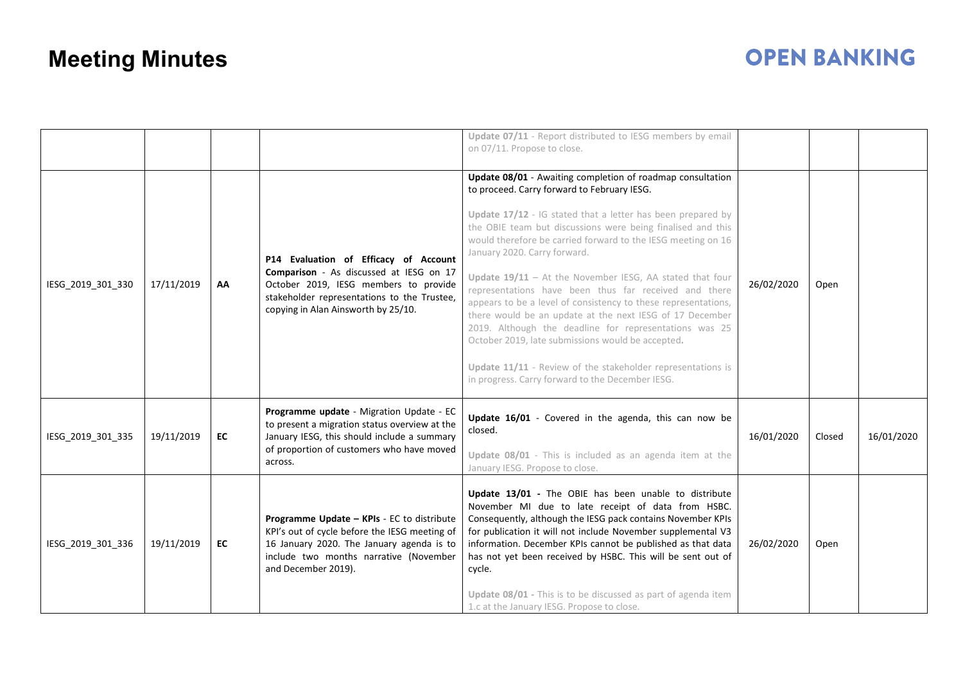|                   |            |    |                                                                                                                                                                                                                 | Update 07/11 - Report distributed to IESG members by email<br>on 07/11. Propose to close.                                                                                                                                                                                                                                                                                                                                                                                                                                                                                                                                                                                                                                                                                                                                      |            |        |            |
|-------------------|------------|----|-----------------------------------------------------------------------------------------------------------------------------------------------------------------------------------------------------------------|--------------------------------------------------------------------------------------------------------------------------------------------------------------------------------------------------------------------------------------------------------------------------------------------------------------------------------------------------------------------------------------------------------------------------------------------------------------------------------------------------------------------------------------------------------------------------------------------------------------------------------------------------------------------------------------------------------------------------------------------------------------------------------------------------------------------------------|------------|--------|------------|
| IESG_2019_301_330 | 17/11/2019 | AA | P14 Evaluation of Efficacy of Account<br>Comparison - As discussed at IESG on 17<br>October 2019, IESG members to provide<br>stakeholder representations to the Trustee,<br>copying in Alan Ainsworth by 25/10. | Update 08/01 - Awaiting completion of roadmap consultation<br>to proceed. Carry forward to February IESG.<br>Update 17/12 - IG stated that a letter has been prepared by<br>the OBIE team but discussions were being finalised and this<br>would therefore be carried forward to the IESG meeting on 16<br>January 2020. Carry forward.<br>Update $19/11$ – At the November IESG, AA stated that four<br>representations have been thus far received and there<br>appears to be a level of consistency to these representations,<br>there would be an update at the next IESG of 17 December<br>2019. Although the deadline for representations was 25<br>October 2019, late submissions would be accepted.<br>Update 11/11 - Review of the stakeholder representations is<br>in progress. Carry forward to the December IESG. | 26/02/2020 | Open   |            |
| IESG_2019_301_335 | 19/11/2019 | EC | Programme update - Migration Update - EC<br>to present a migration status overview at the<br>January IESG, this should include a summary<br>of proportion of customers who have moved<br>across.                | Update 16/01 - Covered in the agenda, this can now be<br>closed.<br>Update 08/01 - This is included as an agenda item at the<br>January IESG. Propose to close.                                                                                                                                                                                                                                                                                                                                                                                                                                                                                                                                                                                                                                                                | 16/01/2020 | Closed | 16/01/2020 |
| IESG_2019_301_336 | 19/11/2019 | EC | Programme Update - KPIs - EC to distribute<br>KPI's out of cycle before the IESG meeting of<br>16 January 2020. The January agenda is to<br>include two months narrative (November<br>and December 2019).       | Update 13/01 - The OBIE has been unable to distribute<br>November MI due to late receipt of data from HSBC.<br>Consequently, although the IESG pack contains November KPIs<br>for publication it will not include November supplemental V3<br>information. December KPIs cannot be published as that data<br>has not yet been received by HSBC. This will be sent out of<br>cycle.<br>Update 08/01 - This is to be discussed as part of agenda item<br>1.c at the January IESG. Propose to close.                                                                                                                                                                                                                                                                                                                              | 26/02/2020 | Open   |            |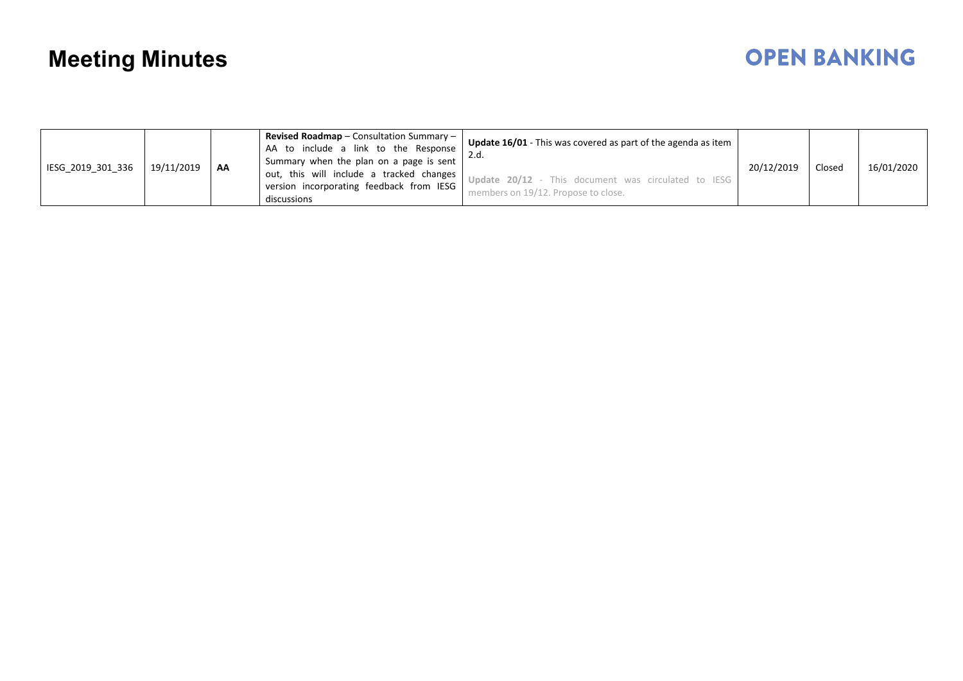| IESG 2019 301 336 | 19/11/2019 | AA | <b>Revised Roadmap</b> – Consultation Summary –<br>AA to include a link to the Response<br>Summary when the plan on a page is sent<br>out, this will include a tracked changes<br>version incorporating feedback from IESG | <b>Update 16/01</b> - This was covered as part of the agenda as item<br>Update 20/12 - This document was circulated to IESG | 20/12/2019 | Closed | 16/01/2020 |
|-------------------|------------|----|----------------------------------------------------------------------------------------------------------------------------------------------------------------------------------------------------------------------------|-----------------------------------------------------------------------------------------------------------------------------|------------|--------|------------|
|                   |            |    | discussions                                                                                                                                                                                                                | members on 19/12. Propose to close.                                                                                         |            |        |            |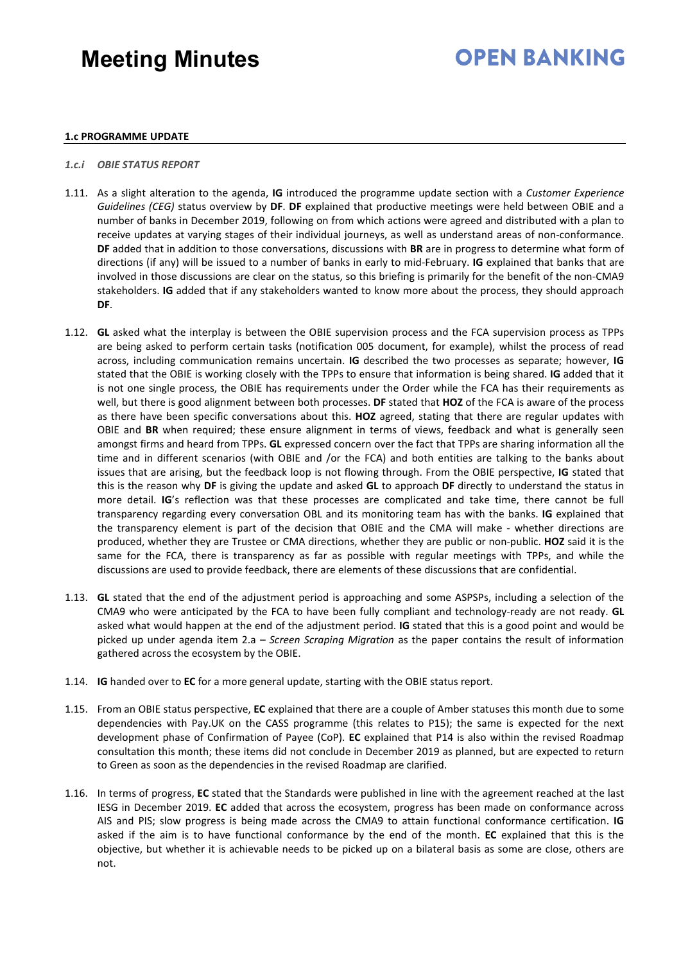## **OPEN BANKING**

### **1.c PROGRAMME UPDATE**

### *1.c.i OBIE STATUS REPORT*

- 1.11. As a slight alteration to the agenda, **IG** introduced the programme update section with a *Customer Experience Guidelines (CEG)* status overview by **DF**. **DF** explained that productive meetings were held between OBIE and a number of banks in December 2019, following on from which actions were agreed and distributed with a plan to receive updates at varying stages of their individual journeys, as well as understand areas of non-conformance. **DF** added that in addition to those conversations, discussions with **BR** are in progress to determine what form of directions (if any) will be issued to a number of banks in early to mid-February. **IG** explained that banks that are involved in those discussions are clear on the status, so this briefing is primarily for the benefit of the non-CMA9 stakeholders. **IG** added that if any stakeholders wanted to know more about the process, they should approach **DF**.
- 1.12. **GL** asked what the interplay is between the OBIE supervision process and the FCA supervision process as TPPs are being asked to perform certain tasks (notification 005 document, for example), whilst the process of read across, including communication remains uncertain. **IG** described the two processes as separate; however, **IG**  stated that the OBIE is working closely with the TPPs to ensure that information is being shared. **IG** added that it is not one single process, the OBIE has requirements under the Order while the FCA has their requirements as well, but there is good alignment between both processes. **DF** stated that **HOZ** of the FCA is aware of the process as there have been specific conversations about this. **HOZ** agreed, stating that there are regular updates with OBIE and **BR** when required; these ensure alignment in terms of views, feedback and what is generally seen amongst firms and heard from TPPs. **GL** expressed concern over the fact that TPPs are sharing information all the time and in different scenarios (with OBIE and /or the FCA) and both entities are talking to the banks about issues that are arising, but the feedback loop is not flowing through. From the OBIE perspective, **IG** stated that this is the reason why **DF** is giving the update and asked **GL** to approach **DF** directly to understand the status in more detail. **IG**'s reflection was that these processes are complicated and take time, there cannot be full transparency regarding every conversation OBL and its monitoring team has with the banks. **IG** explained that the transparency element is part of the decision that OBIE and the CMA will make - whether directions are produced, whether they are Trustee or CMA directions, whether they are public or non-public. **HOZ** said it is the same for the FCA, there is transparency as far as possible with regular meetings with TPPs, and while the discussions are used to provide feedback, there are elements of these discussions that are confidential.
- 1.13. **GL** stated that the end of the adjustment period is approaching and some ASPSPs, including a selection of the CMA9 who were anticipated by the FCA to have been fully compliant and technology-ready are not ready. **GL** asked what would happen at the end of the adjustment period. **IG** stated that this is a good point and would be picked up under agenda item 2.a – *Screen Scraping Migration* as the paper contains the result of information gathered across the ecosystem by the OBIE.
- 1.14. **IG** handed over to **EC** for a more general update, starting with the OBIE status report.
- 1.15. From an OBIE status perspective, **EC** explained that there are a couple of Amber statuses this month due to some dependencies with Pay.UK on the CASS programme (this relates to P15); the same is expected for the next development phase of Confirmation of Payee (CoP). **EC** explained that P14 is also within the revised Roadmap consultation this month; these items did not conclude in December 2019 as planned, but are expected to return to Green as soon as the dependencies in the revised Roadmap are clarified.
- 1.16. In terms of progress, **EC** stated that the Standards were published in line with the agreement reached at the last IESG in December 2019. **EC** added that across the ecosystem, progress has been made on conformance across AIS and PIS; slow progress is being made across the CMA9 to attain functional conformance certification. **IG** asked if the aim is to have functional conformance by the end of the month. **EC** explained that this is the objective, but whether it is achievable needs to be picked up on a bilateral basis as some are close, others are not.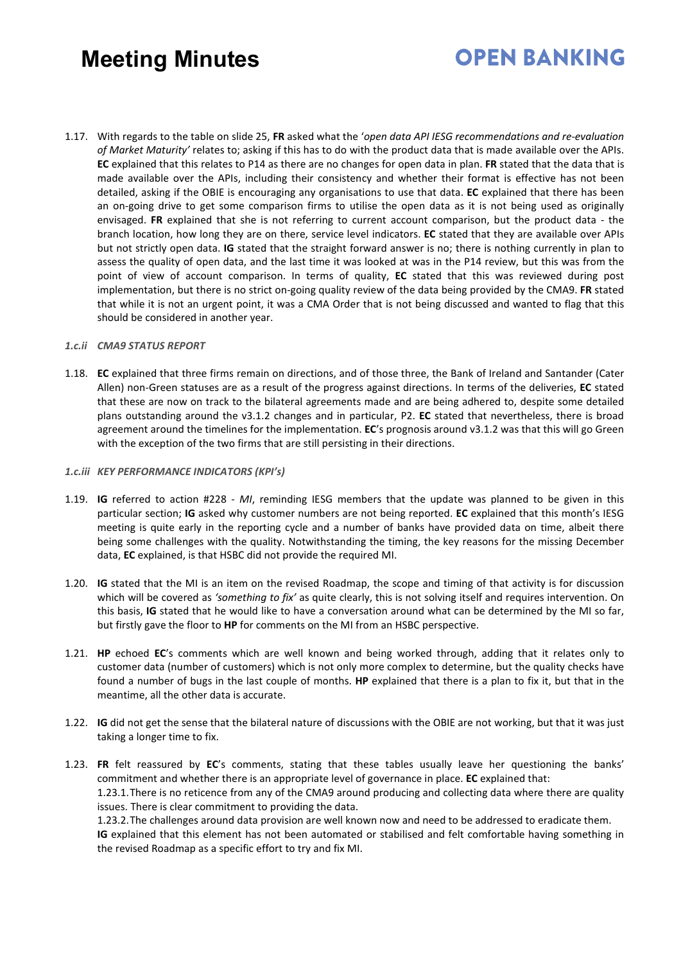# **OPEN BANKING**

1.17. With regards to the table on slide 25, **FR** asked what the '*open data API IESG recommendations and re-evaluation of Market Maturity'* relates to; asking if this has to do with the product data that is made available over the APIs. **EC** explained that this relates to P14 as there are no changes for open data in plan. **FR** stated that the data that is made available over the APIs, including their consistency and whether their format is effective has not been detailed, asking if the OBIE is encouraging any organisations to use that data. **EC** explained that there has been an on-going drive to get some comparison firms to utilise the open data as it is not being used as originally envisaged. **FR** explained that she is not referring to current account comparison, but the product data - the branch location, how long they are on there, service level indicators. **EC** stated that they are available over APIs but not strictly open data. **IG** stated that the straight forward answer is no; there is nothing currently in plan to assess the quality of open data, and the last time it was looked at was in the P14 review, but this was from the point of view of account comparison. In terms of quality, **EC** stated that this was reviewed during post implementation, but there is no strict on-going quality review of the data being provided by the CMA9. **FR** stated that while it is not an urgent point, it was a CMA Order that is not being discussed and wanted to flag that this should be considered in another year.

### *1.c.ii CMA9 STATUS REPORT*

1.18. **EC** explained that three firms remain on directions, and of those three, the Bank of Ireland and Santander (Cater Allen) non-Green statuses are as a result of the progress against directions. In terms of the deliveries, **EC** stated that these are now on track to the bilateral agreements made and are being adhered to, despite some detailed plans outstanding around the v3.1.2 changes and in particular, P2. **EC** stated that nevertheless, there is broad agreement around the timelines for the implementation. **EC**'s prognosis around v3.1.2 was that this will go Green with the exception of the two firms that are still persisting in their directions.

#### *1.c.iii KEY PERFORMANCE INDICATORS (KPI's)*

- 1.19. **IG** referred to action #228 *MI*, reminding IESG members that the update was planned to be given in this particular section; **IG** asked why customer numbers are not being reported. **EC** explained that this month's IESG meeting is quite early in the reporting cycle and a number of banks have provided data on time, albeit there being some challenges with the quality. Notwithstanding the timing, the key reasons for the missing December data, **EC** explained, is that HSBC did not provide the required MI.
- 1.20. **IG** stated that the MI is an item on the revised Roadmap, the scope and timing of that activity is for discussion which will be covered as *'something to fix'* as quite clearly, this is not solving itself and requires intervention. On this basis, **IG** stated that he would like to have a conversation around what can be determined by the MI so far, but firstly gave the floor to **HP** for comments on the MI from an HSBC perspective.
- 1.21. **HP** echoed **EC**'s comments which are well known and being worked through, adding that it relates only to customer data (number of customers) which is not only more complex to determine, but the quality checks have found a number of bugs in the last couple of months. **HP** explained that there is a plan to fix it, but that in the meantime, all the other data is accurate.
- 1.22. **IG** did not get the sense that the bilateral nature of discussions with the OBIE are not working, but that it was just taking a longer time to fix.
- 1.23. **FR** felt reassured by **EC**'s comments, stating that these tables usually leave her questioning the banks' commitment and whether there is an appropriate level of governance in place. **EC** explained that: 1.23.1.There is no reticence from any of the CMA9 around producing and collecting data where there are quality issues. There is clear commitment to providing the data.

1.23.2.The challenges around data provision are well known now and need to be addressed to eradicate them. **IG** explained that this element has not been automated or stabilised and felt comfortable having something in the revised Roadmap as a specific effort to try and fix MI.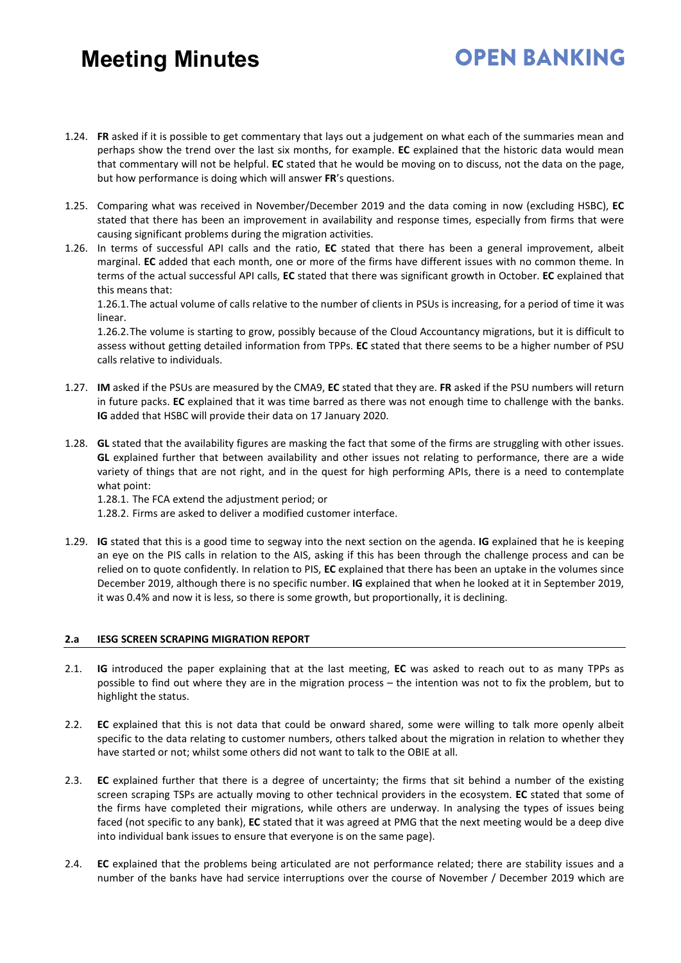### 1.24. **FR** asked if it is possible to get commentary that lays out a judgement on what each of the summaries mean and perhaps show the trend over the last six months, for example. **EC** explained that the historic data would mean that commentary will not be helpful. **EC** stated that he would be moving on to discuss, not the data on the page, but how performance is doing which will answer **FR**'s questions.

- 1.25. Comparing what was received in November/December 2019 and the data coming in now (excluding HSBC), **EC** stated that there has been an improvement in availability and response times, especially from firms that were causing significant problems during the migration activities.
- 1.26. In terms of successful API calls and the ratio, **EC** stated that there has been a general improvement, albeit marginal. **EC** added that each month, one or more of the firms have different issues with no common theme. In terms of the actual successful API calls, **EC** stated that there was significant growth in October. **EC** explained that this means that:

1.26.1.The actual volume of calls relative to the number of clients in PSUs is increasing, for a period of time it was linear.

1.26.2.The volume is starting to grow, possibly because of the Cloud Accountancy migrations, but it is difficult to assess without getting detailed information from TPPs. **EC** stated that there seems to be a higher number of PSU calls relative to individuals.

- 1.27. **IM** asked if the PSUs are measured by the CMA9, **EC** stated that they are. **FR** asked if the PSU numbers will return in future packs. **EC** explained that it was time barred as there was not enough time to challenge with the banks. **IG** added that HSBC will provide their data on 17 January 2020.
- 1.28. **GL** stated that the availability figures are masking the fact that some of the firms are struggling with other issues. **GL** explained further that between availability and other issues not relating to performance, there are a wide variety of things that are not right, and in the quest for high performing APIs, there is a need to contemplate what point:

1.28.1. The FCA extend the adjustment period; or

- 1.28.2. Firms are asked to deliver a modified customer interface.
- 1.29. **IG** stated that this is a good time to segway into the next section on the agenda. **IG** explained that he is keeping an eye on the PIS calls in relation to the AIS, asking if this has been through the challenge process and can be relied on to quote confidently. In relation to PIS, **EC** explained that there has been an uptake in the volumes since December 2019, although there is no specific number. **IG** explained that when he looked at it in September 2019, it was 0.4% and now it is less, so there is some growth, but proportionally, it is declining.

#### **2.a IESG SCREEN SCRAPING MIGRATION REPORT**

- 2.1. **IG** introduced the paper explaining that at the last meeting, **EC** was asked to reach out to as many TPPs as possible to find out where they are in the migration process – the intention was not to fix the problem, but to highlight the status.
- 2.2. **EC** explained that this is not data that could be onward shared, some were willing to talk more openly albeit specific to the data relating to customer numbers, others talked about the migration in relation to whether they have started or not; whilst some others did not want to talk to the OBIE at all.
- 2.3. **EC** explained further that there is a degree of uncertainty; the firms that sit behind a number of the existing screen scraping TSPs are actually moving to other technical providers in the ecosystem. **EC** stated that some of the firms have completed their migrations, while others are underway. In analysing the types of issues being faced (not specific to any bank), **EC** stated that it was agreed at PMG that the next meeting would be a deep dive into individual bank issues to ensure that everyone is on the same page).
- 2.4. **EC** explained that the problems being articulated are not performance related; there are stability issues and a number of the banks have had service interruptions over the course of November / December 2019 which are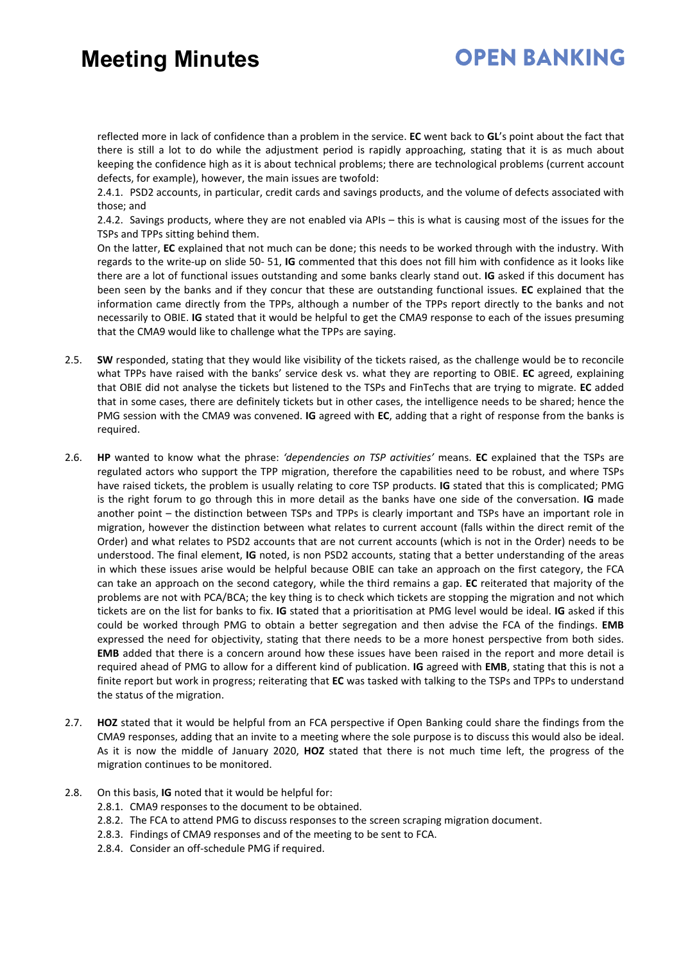## **OPEN BANKING**

reflected more in lack of confidence than a problem in the service. **EC** went back to **GL**'s point about the fact that there is still a lot to do while the adjustment period is rapidly approaching, stating that it is as much about keeping the confidence high as it is about technical problems; there are technological problems (current account defects, for example), however, the main issues are twofold:

2.4.1. PSD2 accounts, in particular, credit cards and savings products, and the volume of defects associated with those; and

2.4.2. Savings products, where they are not enabled via APIs – this is what is causing most of the issues for the TSPs and TPPs sitting behind them.

On the latter, **EC** explained that not much can be done; this needs to be worked through with the industry. With regards to the write-up on slide 50- 51, **IG** commented that this does not fill him with confidence as it looks like there are a lot of functional issues outstanding and some banks clearly stand out. **IG** asked if this document has been seen by the banks and if they concur that these are outstanding functional issues. **EC** explained that the information came directly from the TPPs, although a number of the TPPs report directly to the banks and not necessarily to OBIE. **IG** stated that it would be helpful to get the CMA9 response to each of the issues presuming that the CMA9 would like to challenge what the TPPs are saying.

- 2.5. **SW** responded, stating that they would like visibility of the tickets raised, as the challenge would be to reconcile what TPPs have raised with the banks' service desk vs. what they are reporting to OBIE. **EC** agreed, explaining that OBIE did not analyse the tickets but listened to the TSPs and FinTechs that are trying to migrate. **EC** added that in some cases, there are definitely tickets but in other cases, the intelligence needs to be shared; hence the PMG session with the CMA9 was convened. **IG** agreed with **EC**, adding that a right of response from the banks is required.
- 2.6. **HP** wanted to know what the phrase: *'dependencies on TSP activities'* means. **EC** explained that the TSPs are regulated actors who support the TPP migration, therefore the capabilities need to be robust, and where TSPs have raised tickets, the problem is usually relating to core TSP products. **IG** stated that this is complicated; PMG is the right forum to go through this in more detail as the banks have one side of the conversation. **IG** made another point – the distinction between TSPs and TPPs is clearly important and TSPs have an important role in migration, however the distinction between what relates to current account (falls within the direct remit of the Order) and what relates to PSD2 accounts that are not current accounts (which is not in the Order) needs to be understood. The final element, **IG** noted, is non PSD2 accounts, stating that a better understanding of the areas in which these issues arise would be helpful because OBIE can take an approach on the first category, the FCA can take an approach on the second category, while the third remains a gap. **EC** reiterated that majority of the problems are not with PCA/BCA; the key thing is to check which tickets are stopping the migration and not which tickets are on the list for banks to fix. **IG** stated that a prioritisation at PMG level would be ideal. **IG** asked if this could be worked through PMG to obtain a better segregation and then advise the FCA of the findings. **EMB** expressed the need for objectivity, stating that there needs to be a more honest perspective from both sides. **EMB** added that there is a concern around how these issues have been raised in the report and more detail is required ahead of PMG to allow for a different kind of publication. **IG** agreed with **EMB**, stating that this is not a finite report but work in progress; reiterating that **EC** was tasked with talking to the TSPs and TPPs to understand the status of the migration.
- 2.7. **HOZ** stated that it would be helpful from an FCA perspective if Open Banking could share the findings from the CMA9 responses, adding that an invite to a meeting where the sole purpose is to discuss this would also be ideal. As it is now the middle of January 2020, **HOZ** stated that there is not much time left, the progress of the migration continues to be monitored.
- 2.8. On this basis, **IG** noted that it would be helpful for:
	- 2.8.1. CMA9 responses to the document to be obtained.
	- 2.8.2. The FCA to attend PMG to discuss responses to the screen scraping migration document.
	- 2.8.3. Findings of CMA9 responses and of the meeting to be sent to FCA.
	- 2.8.4. Consider an off-schedule PMG if required.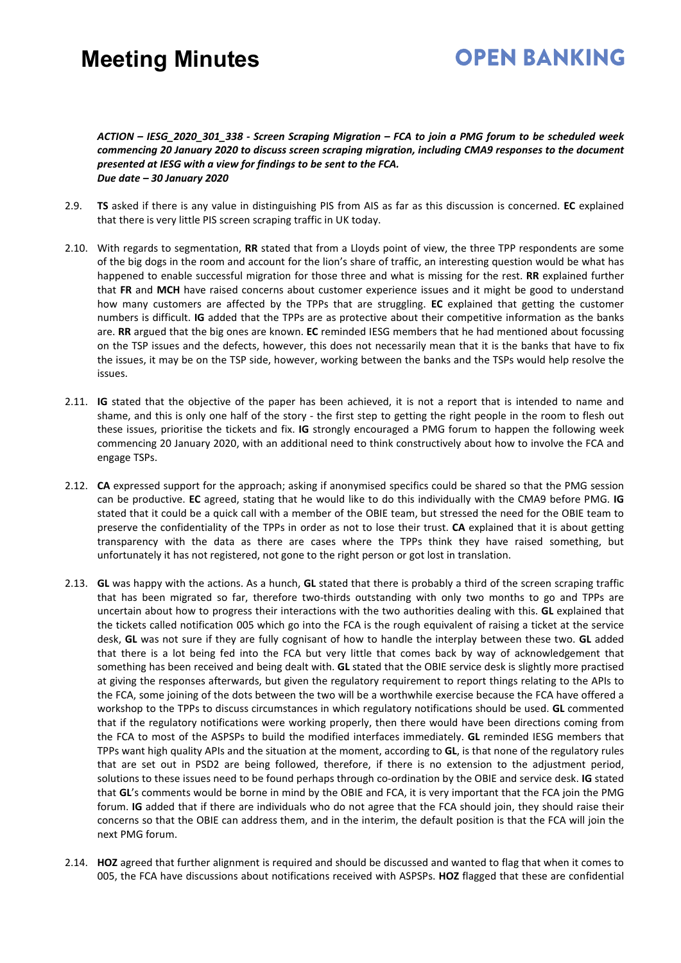# **OPEN BANKING**

### *ACTION – IESG\_2020\_301\_338 - Screen Scraping Migration – FCA to join a PMG forum to be scheduled week commencing 20 January 2020 to discuss screen scraping migration, including CMA9 responses to the document presented at IESG with a view for findings to be sent to the FCA. Due date – 30 January 2020*

- 2.9. **TS** asked if there is any value in distinguishing PIS from AIS as far as this discussion is concerned. **EC** explained that there is very little PIS screen scraping traffic in UK today.
- 2.10. With regards to segmentation, **RR** stated that from a Lloyds point of view, the three TPP respondents are some of the big dogs in the room and account for the lion's share of traffic, an interesting question would be what has happened to enable successful migration for those three and what is missing for the rest. **RR** explained further that **FR** and **MCH** have raised concerns about customer experience issues and it might be good to understand how many customers are affected by the TPPs that are struggling. **EC** explained that getting the customer numbers is difficult. **IG** added that the TPPs are as protective about their competitive information as the banks are. **RR** argued that the big ones are known. **EC** reminded IESG members that he had mentioned about focussing on the TSP issues and the defects, however, this does not necessarily mean that it is the banks that have to fix the issues, it may be on the TSP side, however, working between the banks and the TSPs would help resolve the issues.
- 2.11. **IG** stated that the objective of the paper has been achieved, it is not a report that is intended to name and shame, and this is only one half of the story - the first step to getting the right people in the room to flesh out these issues, prioritise the tickets and fix. **IG** strongly encouraged a PMG forum to happen the following week commencing 20 January 2020, with an additional need to think constructively about how to involve the FCA and engage TSPs.
- 2.12. **CA** expressed support for the approach; asking if anonymised specifics could be shared so that the PMG session can be productive. **EC** agreed, stating that he would like to do this individually with the CMA9 before PMG. **IG** stated that it could be a quick call with a member of the OBIE team, but stressed the need for the OBIE team to preserve the confidentiality of the TPPs in order as not to lose their trust. **CA** explained that it is about getting transparency with the data as there are cases where the TPPs think they have raised something, but unfortunately it has not registered, not gone to the right person or got lost in translation.
- 2.13. **GL** was happy with the actions. As a hunch, **GL** stated that there is probably a third of the screen scraping traffic that has been migrated so far, therefore two-thirds outstanding with only two months to go and TPPs are uncertain about how to progress their interactions with the two authorities dealing with this. **GL** explained that the tickets called notification 005 which go into the FCA is the rough equivalent of raising a ticket at the service desk, **GL** was not sure if they are fully cognisant of how to handle the interplay between these two. **GL** added that there is a lot being fed into the FCA but very little that comes back by way of acknowledgement that something has been received and being dealt with. **GL** stated that the OBIE service desk is slightly more practised at giving the responses afterwards, but given the regulatory requirement to report things relating to the APIs to the FCA, some joining of the dots between the two will be a worthwhile exercise because the FCA have offered a workshop to the TPPs to discuss circumstances in which regulatory notifications should be used. **GL** commented that if the regulatory notifications were working properly, then there would have been directions coming from the FCA to most of the ASPSPs to build the modified interfaces immediately. **GL** reminded IESG members that TPPs want high quality APIs and the situation at the moment, according to **GL**, is that none of the regulatory rules that are set out in PSD2 are being followed, therefore, if there is no extension to the adjustment period, solutions to these issues need to be found perhaps through co-ordination by the OBIE and service desk. **IG** stated that **GL**'s comments would be borne in mind by the OBIE and FCA, it is very important that the FCA join the PMG forum. **IG** added that if there are individuals who do not agree that the FCA should join, they should raise their concerns so that the OBIE can address them, and in the interim, the default position is that the FCA will join the next PMG forum.
- 2.14. **HOZ** agreed that further alignment is required and should be discussed and wanted to flag that when it comes to 005, the FCA have discussions about notifications received with ASPSPs. **HOZ** flagged that these are confidential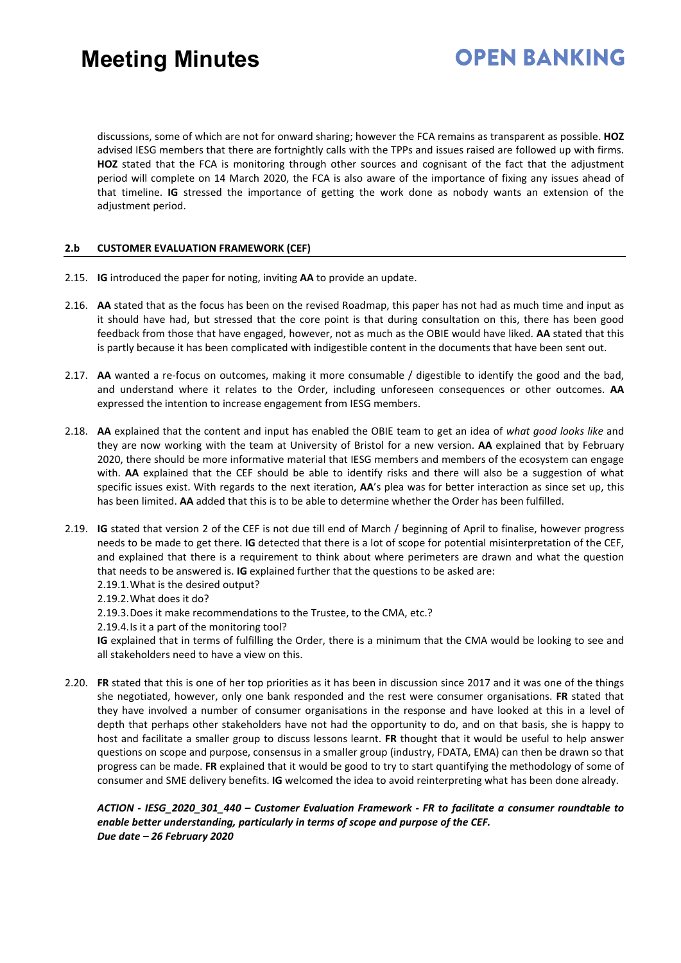# **OPEN BANKING**

discussions, some of which are not for onward sharing; however the FCA remains as transparent as possible. **HOZ** advised IESG members that there are fortnightly calls with the TPPs and issues raised are followed up with firms. **HOZ** stated that the FCA is monitoring through other sources and cognisant of the fact that the adjustment period will complete on 14 March 2020, the FCA is also aware of the importance of fixing any issues ahead of that timeline. **IG** stressed the importance of getting the work done as nobody wants an extension of the adjustment period.

### **2.b CUSTOMER EVALUATION FRAMEWORK (CEF)**

- 2.15. **IG** introduced the paper for noting, inviting **AA** to provide an update.
- 2.16. **AA** stated that as the focus has been on the revised Roadmap, this paper has not had as much time and input as it should have had, but stressed that the core point is that during consultation on this, there has been good feedback from those that have engaged, however, not as much as the OBIE would have liked. **AA** stated that this is partly because it has been complicated with indigestible content in the documents that have been sent out.
- 2.17. **AA** wanted a re-focus on outcomes, making it more consumable / digestible to identify the good and the bad, and understand where it relates to the Order, including unforeseen consequences or other outcomes. **AA** expressed the intention to increase engagement from IESG members.
- 2.18. **AA** explained that the content and input has enabled the OBIE team to get an idea of *what good looks like* and they are now working with the team at University of Bristol for a new version. **AA** explained that by February 2020, there should be more informative material that IESG members and members of the ecosystem can engage with. **AA** explained that the CEF should be able to identify risks and there will also be a suggestion of what specific issues exist. With regards to the next iteration, **AA**'s plea was for better interaction as since set up, this has been limited. **AA** added that this is to be able to determine whether the Order has been fulfilled.
- 2.19. **IG** stated that version 2 of the CEF is not due till end of March / beginning of April to finalise, however progress needs to be made to get there. **IG** detected that there is a lot of scope for potential misinterpretation of the CEF, and explained that there is a requirement to think about where perimeters are drawn and what the question that needs to be answered is. **IG** explained further that the questions to be asked are:
	- 2.19.1.What is the desired output?
	- 2.19.2.What does it do?
	- 2.19.3.Does it make recommendations to the Trustee, to the CMA, etc.?
	- 2.19.4.Is it a part of the monitoring tool?

**IG** explained that in terms of fulfilling the Order, there is a minimum that the CMA would be looking to see and all stakeholders need to have a view on this.

2.20. **FR** stated that this is one of her top priorities as it has been in discussion since 2017 and it was one of the things she negotiated, however, only one bank responded and the rest were consumer organisations. **FR** stated that they have involved a number of consumer organisations in the response and have looked at this in a level of depth that perhaps other stakeholders have not had the opportunity to do, and on that basis, she is happy to host and facilitate a smaller group to discuss lessons learnt. **FR** thought that it would be useful to help answer questions on scope and purpose, consensus in a smaller group (industry, FDATA, EMA) can then be drawn so that progress can be made. **FR** explained that it would be good to try to start quantifying the methodology of some of consumer and SME delivery benefits. **IG** welcomed the idea to avoid reinterpreting what has been done already.

*ACTION - IESG\_2020\_301\_440 – Customer Evaluation Framework - FR to facilitate a consumer roundtable to enable better understanding, particularly in terms of scope and purpose of the CEF. Due date – 26 February 2020*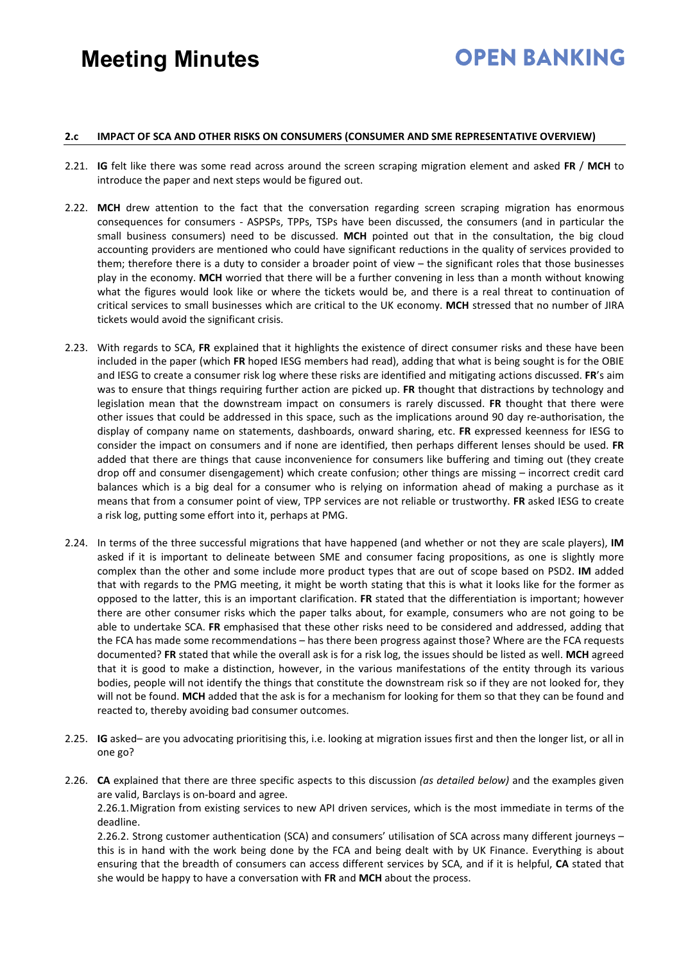# **OPEN BANKING**

### **2.c IMPACT OF SCA AND OTHER RISKS ON CONSUMERS (CONSUMER AND SME REPRESENTATIVE OVERVIEW)**

- 2.21. **IG** felt like there was some read across around the screen scraping migration element and asked **FR** / **MCH** to introduce the paper and next steps would be figured out.
- 2.22. **MCH** drew attention to the fact that the conversation regarding screen scraping migration has enormous consequences for consumers - ASPSPs, TPPs, TSPs have been discussed, the consumers (and in particular the small business consumers) need to be discussed. **MCH** pointed out that in the consultation, the big cloud accounting providers are mentioned who could have significant reductions in the quality of services provided to them; therefore there is a duty to consider a broader point of view – the significant roles that those businesses play in the economy. **MCH** worried that there will be a further convening in less than a month without knowing what the figures would look like or where the tickets would be, and there is a real threat to continuation of critical services to small businesses which are critical to the UK economy. **MCH** stressed that no number of JIRA tickets would avoid the significant crisis.
- 2.23. With regards to SCA, **FR** explained that it highlights the existence of direct consumer risks and these have been included in the paper (which **FR** hoped IESG members had read), adding that what is being sought is for the OBIE and IESG to create a consumer risk log where these risks are identified and mitigating actions discussed. **FR**'s aim was to ensure that things requiring further action are picked up. **FR** thought that distractions by technology and legislation mean that the downstream impact on consumers is rarely discussed. **FR** thought that there were other issues that could be addressed in this space, such as the implications around 90 day re-authorisation, the display of company name on statements, dashboards, onward sharing, etc. **FR** expressed keenness for IESG to consider the impact on consumers and if none are identified, then perhaps different lenses should be used. **FR** added that there are things that cause inconvenience for consumers like buffering and timing out (they create drop off and consumer disengagement) which create confusion; other things are missing – incorrect credit card balances which is a big deal for a consumer who is relying on information ahead of making a purchase as it means that from a consumer point of view, TPP services are not reliable or trustworthy. **FR** asked IESG to create a risk log, putting some effort into it, perhaps at PMG.
- 2.24. In terms of the three successful migrations that have happened (and whether or not they are scale players), **IM** asked if it is important to delineate between SME and consumer facing propositions, as one is slightly more complex than the other and some include more product types that are out of scope based on PSD2. **IM** added that with regards to the PMG meeting, it might be worth stating that this is what it looks like for the former as opposed to the latter, this is an important clarification. **FR** stated that the differentiation is important; however there are other consumer risks which the paper talks about, for example, consumers who are not going to be able to undertake SCA. **FR** emphasised that these other risks need to be considered and addressed, adding that the FCA has made some recommendations – has there been progress against those? Where are the FCA requests documented? **FR** stated that while the overall ask is for a risk log, the issues should be listed as well. **MCH** agreed that it is good to make a distinction, however, in the various manifestations of the entity through its various bodies, people will not identify the things that constitute the downstream risk so if they are not looked for, they will not be found. **MCH** added that the ask is for a mechanism for looking for them so that they can be found and reacted to, thereby avoiding bad consumer outcomes.
- 2.25. **IG** asked– are you advocating prioritising this, i.e. looking at migration issues first and then the longer list, or all in one go?
- 2.26. **CA** explained that there are three specific aspects to this discussion *(as detailed below)* and the examples given are valid, Barclays is on-board and agree.

2.26.1.Migration from existing services to new API driven services, which is the most immediate in terms of the deadline.

2.26.2. Strong customer authentication (SCA) and consumers' utilisation of SCA across many different journeys – this is in hand with the work being done by the FCA and being dealt with by UK Finance. Everything is about ensuring that the breadth of consumers can access different services by SCA, and if it is helpful, **CA** stated that she would be happy to have a conversation with **FR** and **MCH** about the process.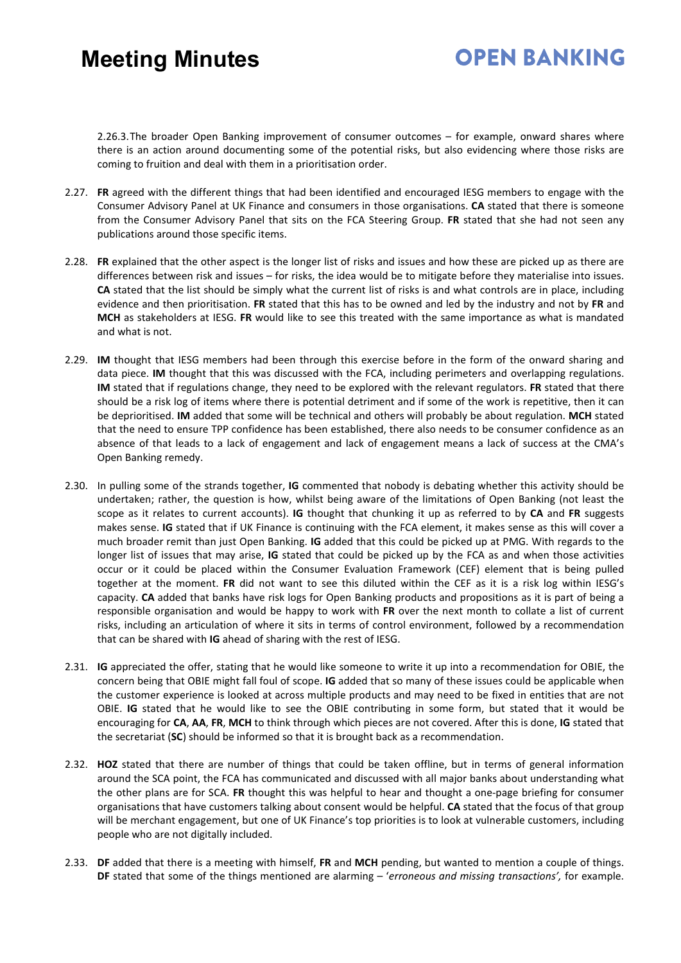## **OPEN BANKING**

2.26.3.The broader Open Banking improvement of consumer outcomes – for example, onward shares where there is an action around documenting some of the potential risks, but also evidencing where those risks are coming to fruition and deal with them in a prioritisation order.

- 2.27. **FR** agreed with the different things that had been identified and encouraged IESG members to engage with the Consumer Advisory Panel at UK Finance and consumers in those organisations. **CA** stated that there is someone from the Consumer Advisory Panel that sits on the FCA Steering Group. **FR** stated that she had not seen any publications around those specific items.
- 2.28. **FR** explained that the other aspect is the longer list of risks and issues and how these are picked up as there are differences between risk and issues – for risks, the idea would be to mitigate before they materialise into issues. **CA** stated that the list should be simply what the current list of risks is and what controls are in place, including evidence and then prioritisation. **FR** stated that this has to be owned and led by the industry and not by **FR** and **MCH** as stakeholders at IESG. **FR** would like to see this treated with the same importance as what is mandated and what is not.
- 2.29. **IM** thought that IESG members had been through this exercise before in the form of the onward sharing and data piece. **IM** thought that this was discussed with the FCA, including perimeters and overlapping regulations. **IM** stated that if regulations change, they need to be explored with the relevant regulators. **FR** stated that there should be a risk log of items where there is potential detriment and if some of the work is repetitive, then it can be deprioritised. **IM** added that some will be technical and others will probably be about regulation. **MCH** stated that the need to ensure TPP confidence has been established, there also needs to be consumer confidence as an absence of that leads to a lack of engagement and lack of engagement means a lack of success at the CMA's Open Banking remedy.
- 2.30. In pulling some of the strands together, **IG** commented that nobody is debating whether this activity should be undertaken; rather, the question is how, whilst being aware of the limitations of Open Banking (not least the scope as it relates to current accounts). **IG** thought that chunking it up as referred to by **CA** and **FR** suggests makes sense. **IG** stated that if UK Finance is continuing with the FCA element, it makes sense as this will cover a much broader remit than just Open Banking. **IG** added that this could be picked up at PMG. With regards to the longer list of issues that may arise, **IG** stated that could be picked up by the FCA as and when those activities occur or it could be placed within the Consumer Evaluation Framework (CEF) element that is being pulled together at the moment. **FR** did not want to see this diluted within the CEF as it is a risk log within IESG's capacity. **CA** added that banks have risk logs for Open Banking products and propositions as it is part of being a responsible organisation and would be happy to work with **FR** over the next month to collate a list of current risks, including an articulation of where it sits in terms of control environment, followed by a recommendation that can be shared with **IG** ahead of sharing with the rest of IESG.
- 2.31. **IG** appreciated the offer, stating that he would like someone to write it up into a recommendation for OBIE, the concern being that OBIE might fall foul of scope. **IG** added that so many of these issues could be applicable when the customer experience is looked at across multiple products and may need to be fixed in entities that are not OBIE. **IG** stated that he would like to see the OBIE contributing in some form, but stated that it would be encouraging for **CA**, **AA**, **FR**, **MCH** to think through which pieces are not covered. After this is done, **IG** stated that the secretariat (**SC**) should be informed so that it is brought back as a recommendation.
- 2.32. **HOZ** stated that there are number of things that could be taken offline, but in terms of general information around the SCA point, the FCA has communicated and discussed with all major banks about understanding what the other plans are for SCA. **FR** thought this was helpful to hear and thought a one-page briefing for consumer organisations that have customers talking about consent would be helpful. **CA** stated that the focus of that group will be merchant engagement, but one of UK Finance's top priorities is to look at vulnerable customers, including people who are not digitally included.
- 2.33. **DF** added that there is a meeting with himself, **FR** and **MCH** pending, but wanted to mention a couple of things. **DF** stated that some of the things mentioned are alarming – '*erroneous and missing transactions',* for example.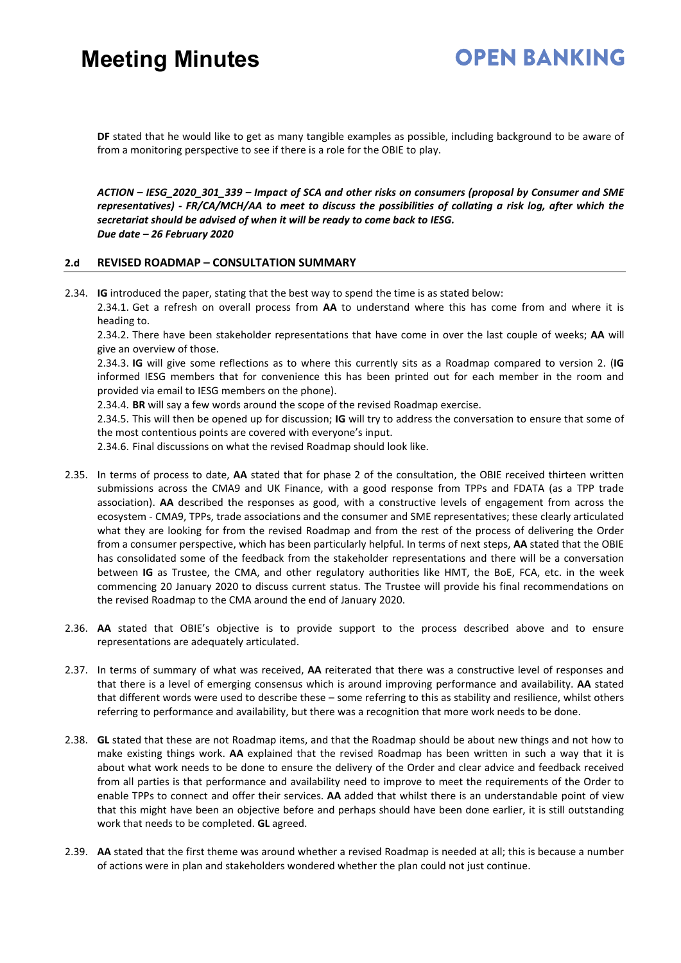## **OPEN BANKING**

**DF** stated that he would like to get as many tangible examples as possible, including background to be aware of from a monitoring perspective to see if there is a role for the OBIE to play.

*ACTION – IESG\_2020\_301\_339 – Impact of SCA and other risks on consumers (proposal by Consumer and SME representatives) - FR/CA/MCH/AA to meet to discuss the possibilities of collating a risk log, after which the secretariat should be advised of when it will be ready to come back to IESG. Due date – 26 February 2020* 

### **2.d REVISED ROADMAP – CONSULTATION SUMMARY**

2.34. **IG** introduced the paper, stating that the best way to spend the time is as stated below:

2.34.1. Get a refresh on overall process from **AA** to understand where this has come from and where it is heading to.

2.34.2. There have been stakeholder representations that have come in over the last couple of weeks; **AA** will give an overview of those.

2.34.3. **IG** will give some reflections as to where this currently sits as a Roadmap compared to version 2. (**IG** informed IESG members that for convenience this has been printed out for each member in the room and provided via email to IESG members on the phone).

2.34.4. **BR** will say a few words around the scope of the revised Roadmap exercise.

2.34.5. This will then be opened up for discussion; **IG** will try to address the conversation to ensure that some of the most contentious points are covered with everyone's input.

2.34.6. Final discussions on what the revised Roadmap should look like.

- 2.35. In terms of process to date, **AA** stated that for phase 2 of the consultation, the OBIE received thirteen written submissions across the CMA9 and UK Finance, with a good response from TPPs and FDATA (as a TPP trade association). **AA** described the responses as good, with a constructive levels of engagement from across the ecosystem - CMA9, TPPs, trade associations and the consumer and SME representatives; these clearly articulated what they are looking for from the revised Roadmap and from the rest of the process of delivering the Order from a consumer perspective, which has been particularly helpful. In terms of next steps, **AA** stated that the OBIE has consolidated some of the feedback from the stakeholder representations and there will be a conversation between **IG** as Trustee, the CMA, and other regulatory authorities like HMT, the BoE, FCA, etc. in the week commencing 20 January 2020 to discuss current status. The Trustee will provide his final recommendations on the revised Roadmap to the CMA around the end of January 2020.
- 2.36. **AA** stated that OBIE's objective is to provide support to the process described above and to ensure representations are adequately articulated.
- 2.37. In terms of summary of what was received, **AA** reiterated that there was a constructive level of responses and that there is a level of emerging consensus which is around improving performance and availability. **AA** stated that different words were used to describe these – some referring to this as stability and resilience, whilst others referring to performance and availability, but there was a recognition that more work needs to be done.
- 2.38. **GL** stated that these are not Roadmap items, and that the Roadmap should be about new things and not how to make existing things work. **AA** explained that the revised Roadmap has been written in such a way that it is about what work needs to be done to ensure the delivery of the Order and clear advice and feedback received from all parties is that performance and availability need to improve to meet the requirements of the Order to enable TPPs to connect and offer their services. **AA** added that whilst there is an understandable point of view that this might have been an objective before and perhaps should have been done earlier, it is still outstanding work that needs to be completed. **GL** agreed.
- 2.39. **AA** stated that the first theme was around whether a revised Roadmap is needed at all; this is because a number of actions were in plan and stakeholders wondered whether the plan could not just continue.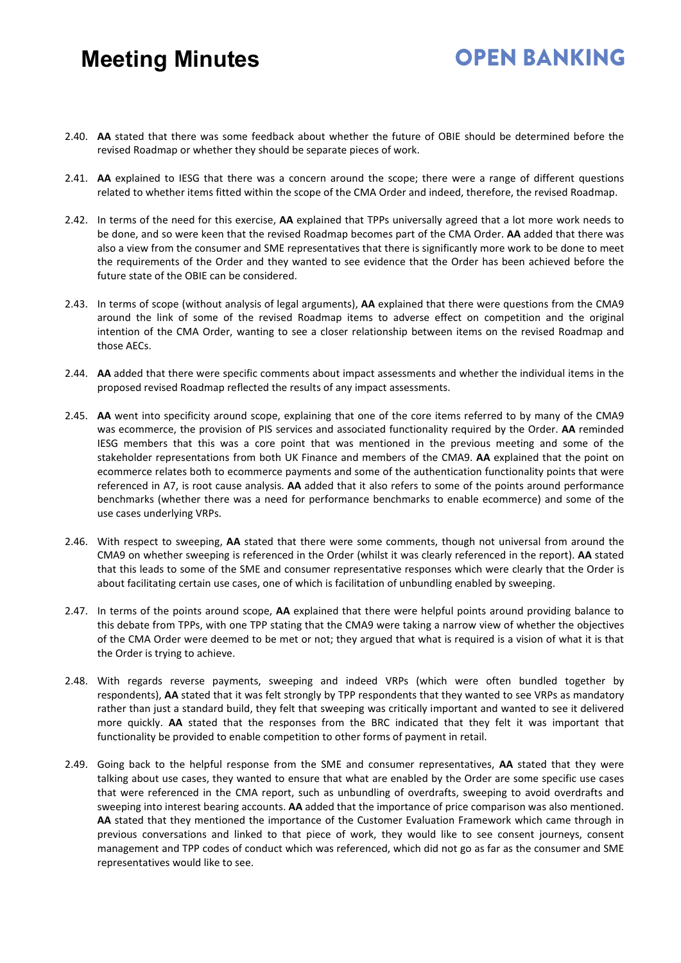- 2.40. **AA** stated that there was some feedback about whether the future of OBIE should be determined before the revised Roadmap or whether they should be separate pieces of work.
- 2.41. **AA** explained to IESG that there was a concern around the scope; there were a range of different questions related to whether items fitted within the scope of the CMA Order and indeed, therefore, the revised Roadmap.
- 2.42. In terms of the need for this exercise, **AA** explained that TPPs universally agreed that a lot more work needs to be done, and so were keen that the revised Roadmap becomes part of the CMA Order. **AA** added that there was also a view from the consumer and SME representatives that there is significantly more work to be done to meet the requirements of the Order and they wanted to see evidence that the Order has been achieved before the future state of the OBIE can be considered.
- 2.43. In terms of scope (without analysis of legal arguments), **AA** explained that there were questions from the CMA9 around the link of some of the revised Roadmap items to adverse effect on competition and the original intention of the CMA Order, wanting to see a closer relationship between items on the revised Roadmap and those AECs.
- 2.44. **AA** added that there were specific comments about impact assessments and whether the individual items in the proposed revised Roadmap reflected the results of any impact assessments.
- 2.45. **AA** went into specificity around scope, explaining that one of the core items referred to by many of the CMA9 was ecommerce, the provision of PIS services and associated functionality required by the Order. **AA** reminded IESG members that this was a core point that was mentioned in the previous meeting and some of the stakeholder representations from both UK Finance and members of the CMA9. **AA** explained that the point on ecommerce relates both to ecommerce payments and some of the authentication functionality points that were referenced in A7, is root cause analysis. **AA** added that it also refers to some of the points around performance benchmarks (whether there was a need for performance benchmarks to enable ecommerce) and some of the use cases underlying VRPs.
- 2.46. With respect to sweeping, **AA** stated that there were some comments, though not universal from around the CMA9 on whether sweeping is referenced in the Order (whilst it was clearly referenced in the report). **AA** stated that this leads to some of the SME and consumer representative responses which were clearly that the Order is about facilitating certain use cases, one of which is facilitation of unbundling enabled by sweeping.
- 2.47. In terms of the points around scope, **AA** explained that there were helpful points around providing balance to this debate from TPPs, with one TPP stating that the CMA9 were taking a narrow view of whether the objectives of the CMA Order were deemed to be met or not; they argued that what is required is a vision of what it is that the Order is trying to achieve.
- 2.48. With regards reverse payments, sweeping and indeed VRPs (which were often bundled together by respondents), **AA** stated that it was felt strongly by TPP respondents that they wanted to see VRPs as mandatory rather than just a standard build, they felt that sweeping was critically important and wanted to see it delivered more quickly. **AA** stated that the responses from the BRC indicated that they felt it was important that functionality be provided to enable competition to other forms of payment in retail.
- 2.49. Going back to the helpful response from the SME and consumer representatives, **AA** stated that they were talking about use cases, they wanted to ensure that what are enabled by the Order are some specific use cases that were referenced in the CMA report, such as unbundling of overdrafts, sweeping to avoid overdrafts and sweeping into interest bearing accounts. **AA** added that the importance of price comparison was also mentioned. **AA** stated that they mentioned the importance of the Customer Evaluation Framework which came through in previous conversations and linked to that piece of work, they would like to see consent journeys, consent management and TPP codes of conduct which was referenced, which did not go as far as the consumer and SME representatives would like to see.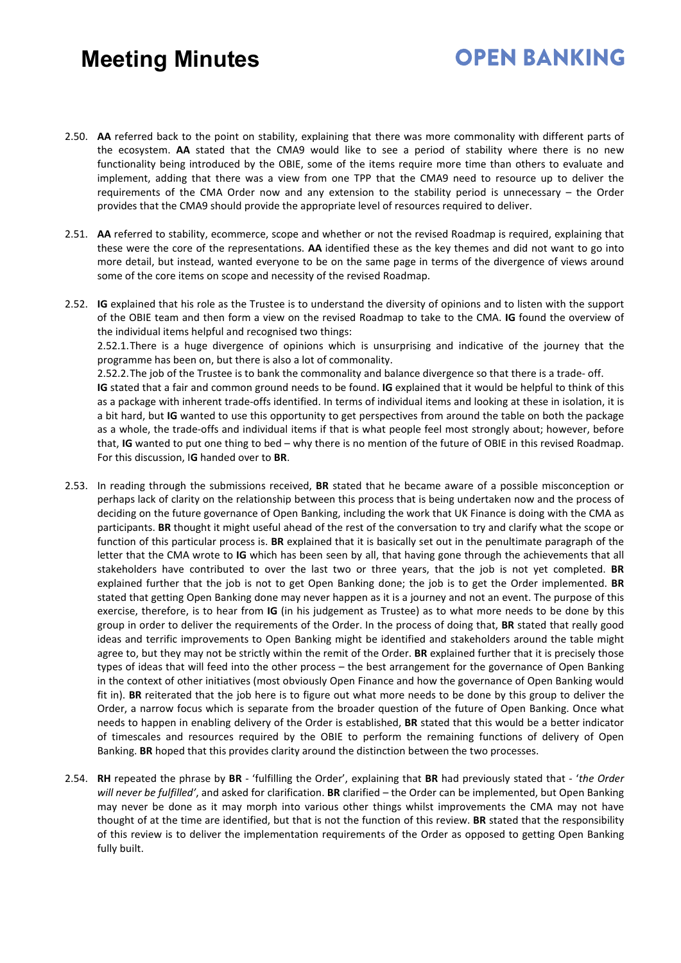2.50. **AA** referred back to the point on stability, explaining that there was more commonality with different parts of the ecosystem. **AA** stated that the CMA9 would like to see a period of stability where there is no new functionality being introduced by the OBIE, some of the items require more time than others to evaluate and implement, adding that there was a view from one TPP that the CMA9 need to resource up to deliver the requirements of the CMA Order now and any extension to the stability period is unnecessary – the Order provides that the CMA9 should provide the appropriate level of resources required to deliver.

**OPEN BANKING** 

- 2.51. **AA** referred to stability, ecommerce, scope and whether or not the revised Roadmap is required, explaining that these were the core of the representations. **AA** identified these as the key themes and did not want to go into more detail, but instead, wanted everyone to be on the same page in terms of the divergence of views around some of the core items on scope and necessity of the revised Roadmap.
- 2.52. **IG** explained that his role as the Trustee is to understand the diversity of opinions and to listen with the support of the OBIE team and then form a view on the revised Roadmap to take to the CMA. **IG** found the overview of the individual items helpful and recognised two things:

2.52.1.There is a huge divergence of opinions which is unsurprising and indicative of the journey that the programme has been on, but there is also a lot of commonality.

2.52.2.The job of the Trustee is to bank the commonality and balance divergence so that there is a trade- off.

**IG** stated that a fair and common ground needs to be found. **IG** explained that it would be helpful to think of this as a package with inherent trade-offs identified. In terms of individual items and looking at these in isolation, it is a bit hard, but **IG** wanted to use this opportunity to get perspectives from around the table on both the package as a whole, the trade-offs and individual items if that is what people feel most strongly about; however, before that, **IG** wanted to put one thing to bed – why there is no mention of the future of OBIE in this revised Roadmap. For this discussion, I**G** handed over to **BR**.

- 2.53. In reading through the submissions received, **BR** stated that he became aware of a possible misconception or perhaps lack of clarity on the relationship between this process that is being undertaken now and the process of deciding on the future governance of Open Banking, including the work that UK Finance is doing with the CMA as participants. **BR** thought it might useful ahead of the rest of the conversation to try and clarify what the scope or function of this particular process is. **BR** explained that it is basically set out in the penultimate paragraph of the letter that the CMA wrote to **IG** which has been seen by all, that having gone through the achievements that all stakeholders have contributed to over the last two or three years, that the job is not yet completed. **BR** explained further that the job is not to get Open Banking done; the job is to get the Order implemented. **BR** stated that getting Open Banking done may never happen as it is a journey and not an event. The purpose of this exercise, therefore, is to hear from **IG** (in his judgement as Trustee) as to what more needs to be done by this group in order to deliver the requirements of the Order. In the process of doing that, **BR** stated that really good ideas and terrific improvements to Open Banking might be identified and stakeholders around the table might agree to, but they may not be strictly within the remit of the Order. **BR** explained further that it is precisely those types of ideas that will feed into the other process – the best arrangement for the governance of Open Banking in the context of other initiatives (most obviously Open Finance and how the governance of Open Banking would fit in). **BR** reiterated that the job here is to figure out what more needs to be done by this group to deliver the Order, a narrow focus which is separate from the broader question of the future of Open Banking. Once what needs to happen in enabling delivery of the Order is established, **BR** stated that this would be a better indicator of timescales and resources required by the OBIE to perform the remaining functions of delivery of Open Banking. **BR** hoped that this provides clarity around the distinction between the two processes.
- 2.54. **RH** repeated the phrase by **BR** 'fulfilling the Order', explaining that **BR** had previously stated that '*the Order will never be fulfilled'*, and asked for clarification. **BR** clarified – the Order can be implemented, but Open Banking may never be done as it may morph into various other things whilst improvements the CMA may not have thought of at the time are identified, but that is not the function of this review. **BR** stated that the responsibility of this review is to deliver the implementation requirements of the Order as opposed to getting Open Banking fully built.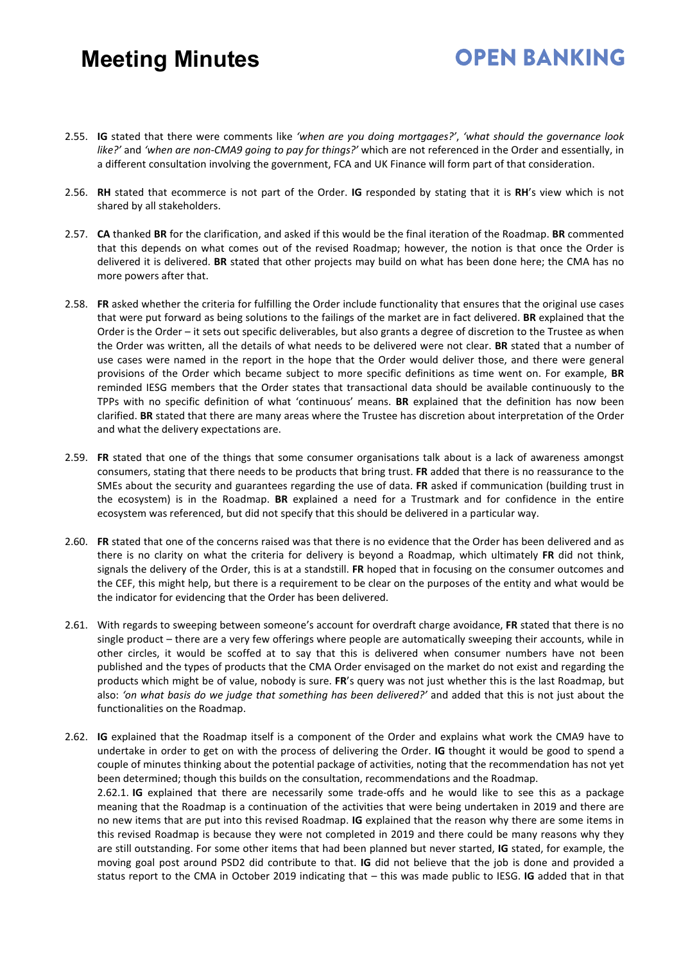### 2.55. **IG** stated that there were comments like *'when are you doing mortgages?'*, *'what should the governance look like?'* and *'when are non-CMA9 going to pay for things?'* which are not referenced in the Order and essentially, in a different consultation involving the government, FCA and UK Finance will form part of that consideration.

- 2.56. **RH** stated that ecommerce is not part of the Order. **IG** responded by stating that it is **RH**'s view which is not shared by all stakeholders.
- 2.57. **CA** thanked **BR** for the clarification, and asked if this would be the final iteration of the Roadmap. **BR** commented that this depends on what comes out of the revised Roadmap; however, the notion is that once the Order is delivered it is delivered. **BR** stated that other projects may build on what has been done here; the CMA has no more powers after that.
- 2.58. **FR** asked whether the criteria for fulfilling the Order include functionality that ensures that the original use cases that were put forward as being solutions to the failings of the market are in fact delivered. **BR** explained that the Order is the Order – it sets out specific deliverables, but also grants a degree of discretion to the Trustee as when the Order was written, all the details of what needs to be delivered were not clear. **BR** stated that a number of use cases were named in the report in the hope that the Order would deliver those, and there were general provisions of the Order which became subject to more specific definitions as time went on. For example, **BR** reminded IESG members that the Order states that transactional data should be available continuously to the TPPs with no specific definition of what 'continuous' means. **BR** explained that the definition has now been clarified. **BR** stated that there are many areas where the Trustee has discretion about interpretation of the Order and what the delivery expectations are.
- 2.59. **FR** stated that one of the things that some consumer organisations talk about is a lack of awareness amongst consumers, stating that there needs to be products that bring trust. **FR** added that there is no reassurance to the SMEs about the security and guarantees regarding the use of data. **FR** asked if communication (building trust in the ecosystem) is in the Roadmap. **BR** explained a need for a Trustmark and for confidence in the entire ecosystem was referenced, but did not specify that this should be delivered in a particular way.
- 2.60. **FR** stated that one of the concerns raised was that there is no evidence that the Order has been delivered and as there is no clarity on what the criteria for delivery is beyond a Roadmap, which ultimately **FR** did not think, signals the delivery of the Order, this is at a standstill. **FR** hoped that in focusing on the consumer outcomes and the CEF, this might help, but there is a requirement to be clear on the purposes of the entity and what would be the indicator for evidencing that the Order has been delivered.
- 2.61. With regards to sweeping between someone's account for overdraft charge avoidance, **FR** stated that there is no single product – there are a very few offerings where people are automatically sweeping their accounts, while in other circles, it would be scoffed at to say that this is delivered when consumer numbers have not been published and the types of products that the CMA Order envisaged on the market do not exist and regarding the products which might be of value, nobody is sure. **FR**'s query was not just whether this is the last Roadmap, but also: *'on what basis do we judge that something has been delivered?'* and added that this is not just about the functionalities on the Roadmap.
- 2.62. **IG** explained that the Roadmap itself is a component of the Order and explains what work the CMA9 have to undertake in order to get on with the process of delivering the Order. **IG** thought it would be good to spend a couple of minutes thinking about the potential package of activities, noting that the recommendation has not yet been determined; though this builds on the consultation, recommendations and the Roadmap. 2.62.1. **IG** explained that there are necessarily some trade-offs and he would like to see this as a package meaning that the Roadmap is a continuation of the activities that were being undertaken in 2019 and there are no new items that are put into this revised Roadmap. **IG** explained that the reason why there are some items in this revised Roadmap is because they were not completed in 2019 and there could be many reasons why they are still outstanding. For some other items that had been planned but never started, **IG** stated, for example, the moving goal post around PSD2 did contribute to that. **IG** did not believe that the job is done and provided a status report to the CMA in October 2019 indicating that – this was made public to IESG. **IG** added that in that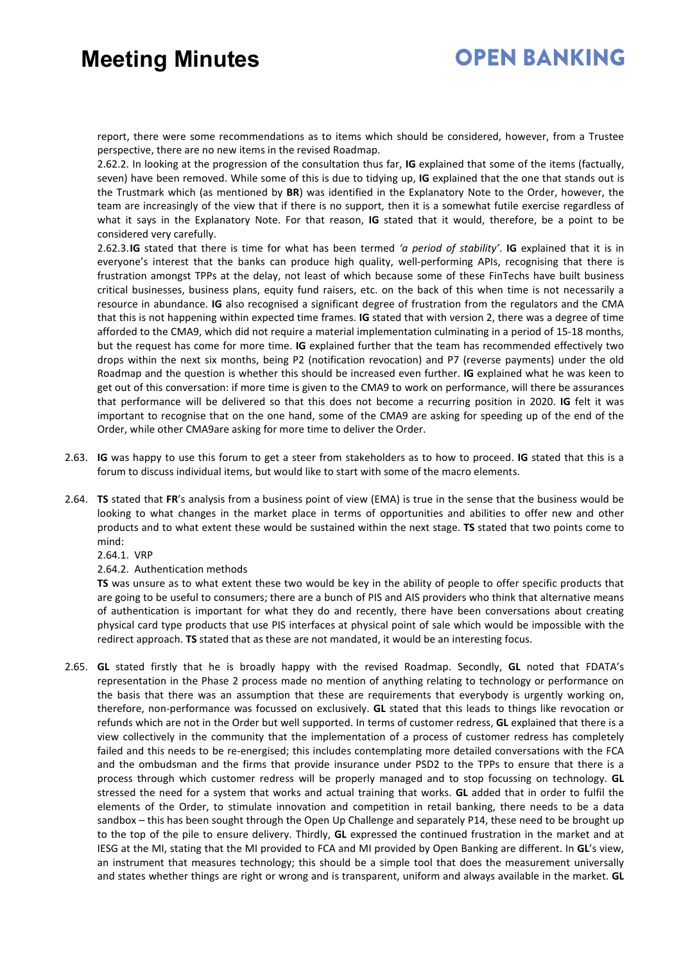## **OPEN BANKING**

report, there were some recommendations as to items which should be considered, however, from a Trustee perspective, there are no new items in the revised Roadmap.

2.62.2. In looking at the progression of the consultation thus far, **IG** explained that some of the items (factually, seven) have been removed. While some of this is due to tidying up, **IG** explained that the one that stands out is the Trustmark which (as mentioned by **BR**) was identified in the Explanatory Note to the Order, however, the team are increasingly of the view that if there is no support, then it is a somewhat futile exercise regardless of what it says in the Explanatory Note. For that reason, **IG** stated that it would, therefore, be a point to be considered very carefully.

2.62.3.**IG** stated that there is time for what has been termed *'a period of stability'*. **IG** explained that it is in everyone's interest that the banks can produce high quality, well-performing APIs, recognising that there is frustration amongst TPPs at the delay, not least of which because some of these FinTechs have built business critical businesses, business plans, equity fund raisers, etc. on the back of this when time is not necessarily a resource in abundance. **IG** also recognised a significant degree of frustration from the regulators and the CMA that this is not happening within expected time frames. **IG** stated that with version 2, there was a degree of time afforded to the CMA9, which did not require a material implementation culminating in a period of 15-18 months, but the request has come for more time. **IG** explained further that the team has recommended effectively two drops within the next six months, being P2 (notification revocation) and P7 (reverse payments) under the old Roadmap and the question is whether this should be increased even further. **IG** explained what he was keen to get out of this conversation: if more time is given to the CMA9 to work on performance, will there be assurances that performance will be delivered so that this does not become a recurring position in 2020. **IG** felt it was important to recognise that on the one hand, some of the CMA9 are asking for speeding up of the end of the Order, while other CMA9are asking for more time to deliver the Order.

- 2.63. **IG** was happy to use this forum to get a steer from stakeholders as to how to proceed. **IG** stated that this is a forum to discuss individual items, but would like to start with some of the macro elements.
- 2.64. **TS** stated that **FR**'s analysis from a business point of view (EMA) is true in the sense that the business would be looking to what changes in the market place in terms of opportunities and abilities to offer new and other products and to what extent these would be sustained within the next stage. **TS** stated that two points come to mind:

2.64.1. VRP

2.64.2. Authentication methods

**TS** was unsure as to what extent these two would be key in the ability of people to offer specific products that are going to be useful to consumers; there are a bunch of PIS and AIS providers who think that alternative means of authentication is important for what they do and recently, there have been conversations about creating physical card type products that use PIS interfaces at physical point of sale which would be impossible with the redirect approach. **TS** stated that as these are not mandated, it would be an interesting focus.

2.65. **GL** stated firstly that he is broadly happy with the revised Roadmap. Secondly, **GL** noted that FDATA's representation in the Phase 2 process made no mention of anything relating to technology or performance on the basis that there was an assumption that these are requirements that everybody is urgently working on, therefore, non-performance was focussed on exclusively. **GL** stated that this leads to things like revocation or refunds which are not in the Order but well supported. In terms of customer redress, **GL** explained that there is a view collectively in the community that the implementation of a process of customer redress has completely failed and this needs to be re-energised; this includes contemplating more detailed conversations with the FCA and the ombudsman and the firms that provide insurance under PSD2 to the TPPs to ensure that there is a process through which customer redress will be properly managed and to stop focussing on technology. **GL** stressed the need for a system that works and actual training that works. **GL** added that in order to fulfil the elements of the Order, to stimulate innovation and competition in retail banking, there needs to be a data sandbox – this has been sought through the Open Up Challenge and separately P14, these need to be brought up to the top of the pile to ensure delivery. Thirdly, **GL** expressed the continued frustration in the market and at IESG at the MI, stating that the MI provided to FCA and MI provided by Open Banking are different. In **GL**'s view, an instrument that measures technology; this should be a simple tool that does the measurement universally and states whether things are right or wrong and is transparent, uniform and always available in the market. **GL**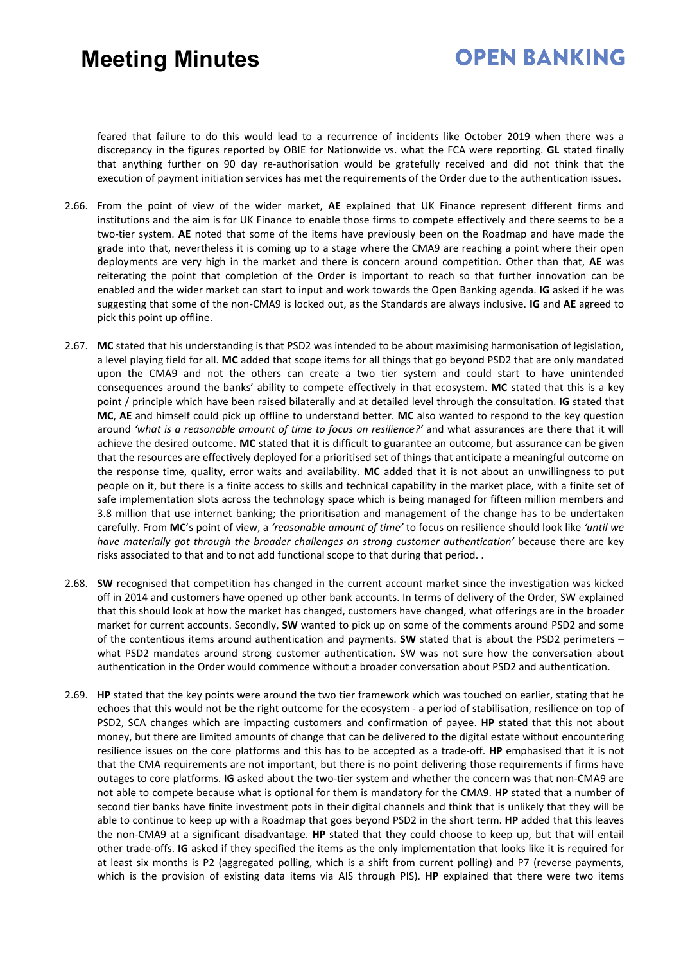## **OPEN BANKING**

feared that failure to do this would lead to a recurrence of incidents like October 2019 when there was a discrepancy in the figures reported by OBIE for Nationwide vs. what the FCA were reporting. **GL** stated finally that anything further on 90 day re-authorisation would be gratefully received and did not think that the execution of payment initiation services has met the requirements of the Order due to the authentication issues.

- 2.66. From the point of view of the wider market, **AE** explained that UK Finance represent different firms and institutions and the aim is for UK Finance to enable those firms to compete effectively and there seems to be a two-tier system. **AE** noted that some of the items have previously been on the Roadmap and have made the grade into that, nevertheless it is coming up to a stage where the CMA9 are reaching a point where their open deployments are very high in the market and there is concern around competition. Other than that, **AE** was reiterating the point that completion of the Order is important to reach so that further innovation can be enabled and the wider market can start to input and work towards the Open Banking agenda. **IG** asked if he was suggesting that some of the non-CMA9 is locked out, as the Standards are always inclusive. **IG** and **AE** agreed to pick this point up offline.
- 2.67. **MC** stated that his understanding is that PSD2 was intended to be about maximising harmonisation of legislation, a level playing field for all. **MC** added that scope items for all things that go beyond PSD2 that are only mandated upon the CMA9 and not the others can create a two tier system and could start to have unintended consequences around the banks' ability to compete effectively in that ecosystem. **MC** stated that this is a key point / principle which have been raised bilaterally and at detailed level through the consultation. **IG** stated that **MC**, **AE** and himself could pick up offline to understand better. **MC** also wanted to respond to the key question around *'what is a reasonable amount of time to focus on resilience?'* and what assurances are there that it will achieve the desired outcome. **MC** stated that it is difficult to guarantee an outcome, but assurance can be given that the resources are effectively deployed for a prioritised set of things that anticipate a meaningful outcome on the response time, quality, error waits and availability. **MC** added that it is not about an unwillingness to put people on it, but there is a finite access to skills and technical capability in the market place, with a finite set of safe implementation slots across the technology space which is being managed for fifteen million members and 3.8 million that use internet banking; the prioritisation and management of the change has to be undertaken carefully. From **MC**'s point of view, a *'reasonable amount of time'* to focus on resilience should look like *'until we have materially got through the broader challenges on strong customer authentication'* because there are key risks associated to that and to not add functional scope to that during that period. .
- 2.68. **SW** recognised that competition has changed in the current account market since the investigation was kicked off in 2014 and customers have opened up other bank accounts. In terms of delivery of the Order, SW explained that this should look at how the market has changed, customers have changed, what offerings are in the broader market for current accounts. Secondly, **SW** wanted to pick up on some of the comments around PSD2 and some of the contentious items around authentication and payments. **SW** stated that is about the PSD2 perimeters – what PSD2 mandates around strong customer authentication. SW was not sure how the conversation about authentication in the Order would commence without a broader conversation about PSD2 and authentication.
- 2.69. **HP** stated that the key points were around the two tier framework which was touched on earlier, stating that he echoes that this would not be the right outcome for the ecosystem - a period of stabilisation, resilience on top of PSD2, SCA changes which are impacting customers and confirmation of payee. **HP** stated that this not about money, but there are limited amounts of change that can be delivered to the digital estate without encountering resilience issues on the core platforms and this has to be accepted as a trade-off. **HP** emphasised that it is not that the CMA requirements are not important, but there is no point delivering those requirements if firms have outages to core platforms. **IG** asked about the two-tier system and whether the concern was that non-CMA9 are not able to compete because what is optional for them is mandatory for the CMA9. **HP** stated that a number of second tier banks have finite investment pots in their digital channels and think that is unlikely that they will be able to continue to keep up with a Roadmap that goes beyond PSD2 in the short term. **HP** added that this leaves the non-CMA9 at a significant disadvantage. **HP** stated that they could choose to keep up, but that will entail other trade-offs. **IG** asked if they specified the items as the only implementation that looks like it is required for at least six months is P2 (aggregated polling, which is a shift from current polling) and P7 (reverse payments, which is the provision of existing data items via AIS through PIS). **HP** explained that there were two items